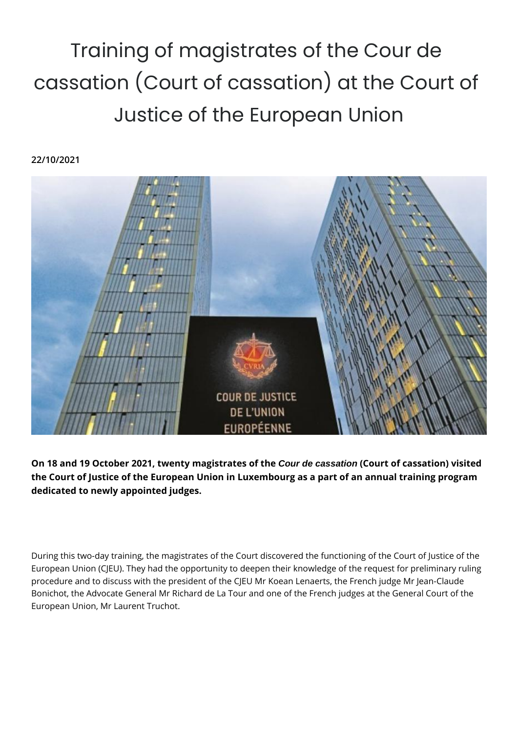## Training of magistrates of the Cour de cassation (Court of cassation) at the Court of Justice of the European Union

**22/10/2021**



**On 18 and 19 October 2021, twenty magistrates of the Cour de cassation (Court of cassation) visited the Court of Justice of the European Union in Luxembourg as a part of an annual training program dedicated to newly appointed judges.**

During this two-day training, the magistrates of the Court discovered the functioning of the Court of Justice of the European Union (CJEU). They had the opportunity to deepen their knowledge of the request for preliminary ruling procedure and to discuss with the president of the CJEU Mr Koean Lenaerts, the French judge Mr Jean-Claude Bonichot, the Advocate General Mr Richard de La Tour and one of the French judges at the General Court of the European Union, Mr Laurent Truchot.